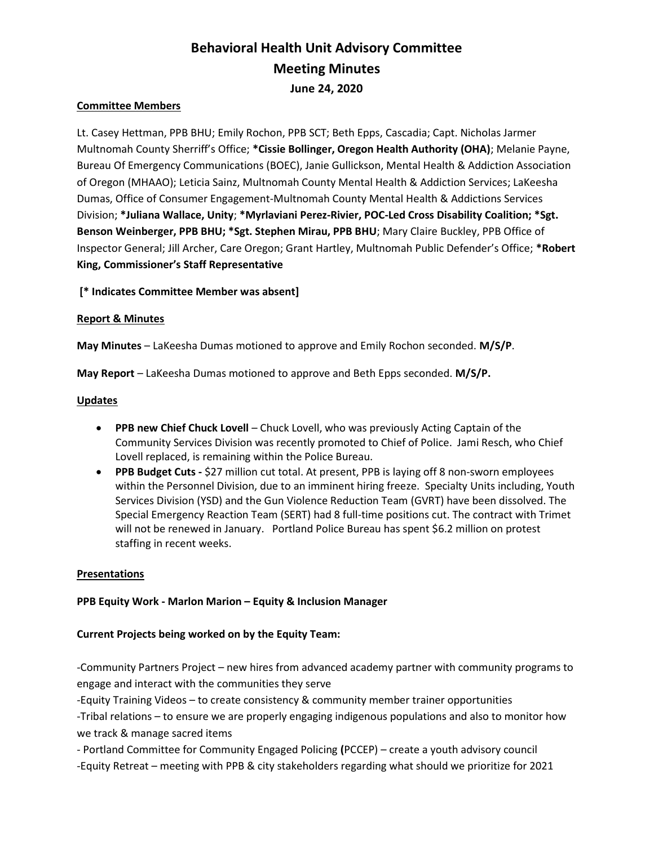# Behavioral Health Unit Advisory Committee Meeting Minutes June 24, 2020

## Committee Members

Lt. Casey Hettman, PPB BHU; Emily Rochon, PPB SCT; Beth Epps, Cascadia; Capt. Nicholas Jarmer Multnomah County Sherriff's Office; \*Cissie Bollinger, Oregon Health Authority (OHA); Melanie Payne, Bureau Of Emergency Communications (BOEC), Janie Gullickson, Mental Health & Addiction Association of Oregon (MHAAO); Leticia Sainz, Multnomah County Mental Health & Addiction Services; LaKeesha Dumas, Office of Consumer Engagement-Multnomah County Mental Health & Addictions Services Division; \*Juliana Wallace, Unity; \*Myrlaviani Perez-Rivier, POC-Led Cross Disability Coalition; \*Sgt. Benson Weinberger, PPB BHU; \*Sgt. Stephen Mirau, PPB BHU; Mary Claire Buckley, PPB Office of Inspector General; Jill Archer, Care Oregon; Grant Hartley, Multnomah Public Defender's Office; \*Robert King, Commissioner's Staff Representative

[\* Indicates Committee Member was absent]

### Report & Minutes

May Minutes – LaKeesha Dumas motioned to approve and Emily Rochon seconded. M/S/P.

May Report – LaKeesha Dumas motioned to approve and Beth Epps seconded. M/S/P.

#### **Updates**

- PPB new Chief Chuck Lovell Chuck Lovell, who was previously Acting Captain of the Community Services Division was recently promoted to Chief of Police. Jami Resch, who Chief Lovell replaced, is remaining within the Police Bureau.
- PPB Budget Cuts \$27 million cut total. At present, PPB is laying off 8 non-sworn employees within the Personnel Division, due to an imminent hiring freeze. Specialty Units including, Youth Services Division (YSD) and the Gun Violence Reduction Team (GVRT) have been dissolved. The Special Emergency Reaction Team (SERT) had 8 full-time positions cut. The contract with Trimet will not be renewed in January. Portland Police Bureau has spent \$6.2 million on protest staffing in recent weeks.

## Presentations

## PPB Equity Work - Marlon Marion – Equity & Inclusion Manager

## Current Projects being worked on by the Equity Team:

-Community Partners Project – new hires from advanced academy partner with community programs to engage and interact with the communities they serve

-Equity Training Videos – to create consistency & community member trainer opportunities -Tribal relations – to ensure we are properly engaging indigenous populations and also to monitor how we track & manage sacred items

- Portland Committee for Community Engaged Policing (PCCEP) – create a youth advisory council -Equity Retreat – meeting with PPB & city stakeholders regarding what should we prioritize for 2021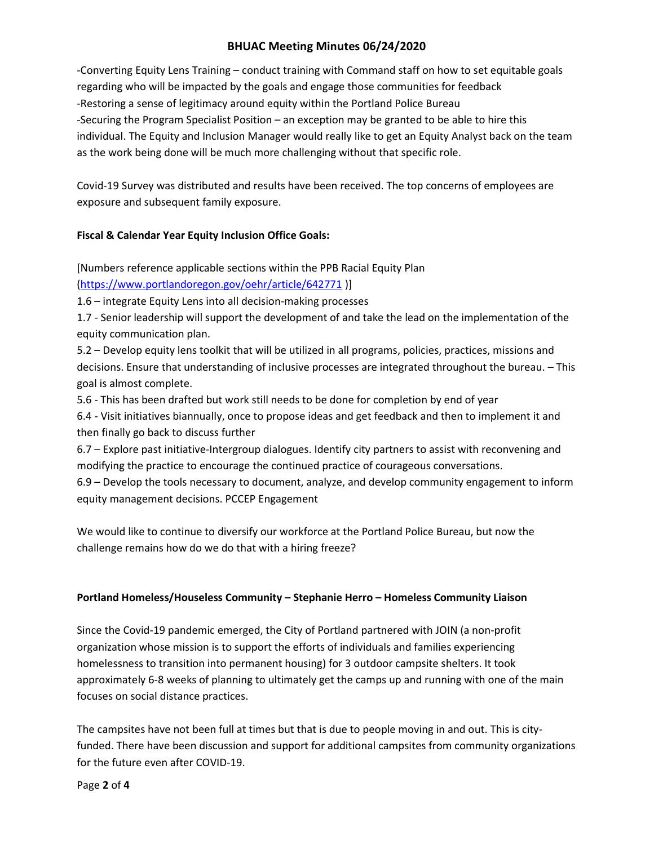# BHUAC Meeting Minutes 06/24/2020

-Converting Equity Lens Training – conduct training with Command staff on how to set equitable goals regarding who will be impacted by the goals and engage those communities for feedback -Restoring a sense of legitimacy around equity within the Portland Police Bureau -Securing the Program Specialist Position – an exception may be granted to be able to hire this individual. The Equity and Inclusion Manager would really like to get an Equity Analyst back on the team as the work being done will be much more challenging without that specific role.

Covid-19 Survey was distributed and results have been received. The top concerns of employees are exposure and subsequent family exposure.

# Fiscal & Calendar Year Equity Inclusion Office Goals:

[Numbers reference applicable sections within the PPB Racial Equity Plan (https://www.portlandoregon.gov/oehr/article/642771 )]

1.6 – integrate Equity Lens into all decision-making processes

1.7 - Senior leadership will support the development of and take the lead on the implementation of the equity communication plan.

5.2 – Develop equity lens toolkit that will be utilized in all programs, policies, practices, missions and decisions. Ensure that understanding of inclusive processes are integrated throughout the bureau. – This goal is almost complete.

5.6 - This has been drafted but work still needs to be done for completion by end of year

6.4 - Visit initiatives biannually, once to propose ideas and get feedback and then to implement it and then finally go back to discuss further

6.7 – Explore past initiative-Intergroup dialogues. Identify city partners to assist with reconvening and modifying the practice to encourage the continued practice of courageous conversations.

6.9 – Develop the tools necessary to document, analyze, and develop community engagement to inform equity management decisions. PCCEP Engagement

We would like to continue to diversify our workforce at the Portland Police Bureau, but now the challenge remains how do we do that with a hiring freeze?

# Portland Homeless/Houseless Community – Stephanie Herro – Homeless Community Liaison

Since the Covid-19 pandemic emerged, the City of Portland partnered with JOIN (a non-profit organization whose mission is to support the efforts of individuals and families experiencing homelessness to transition into permanent housing) for 3 outdoor campsite shelters. It took approximately 6-8 weeks of planning to ultimately get the camps up and running with one of the main focuses on social distance practices.

The campsites have not been full at times but that is due to people moving in and out. This is cityfunded. There have been discussion and support for additional campsites from community organizations for the future even after COVID-19.

Page 2 of 4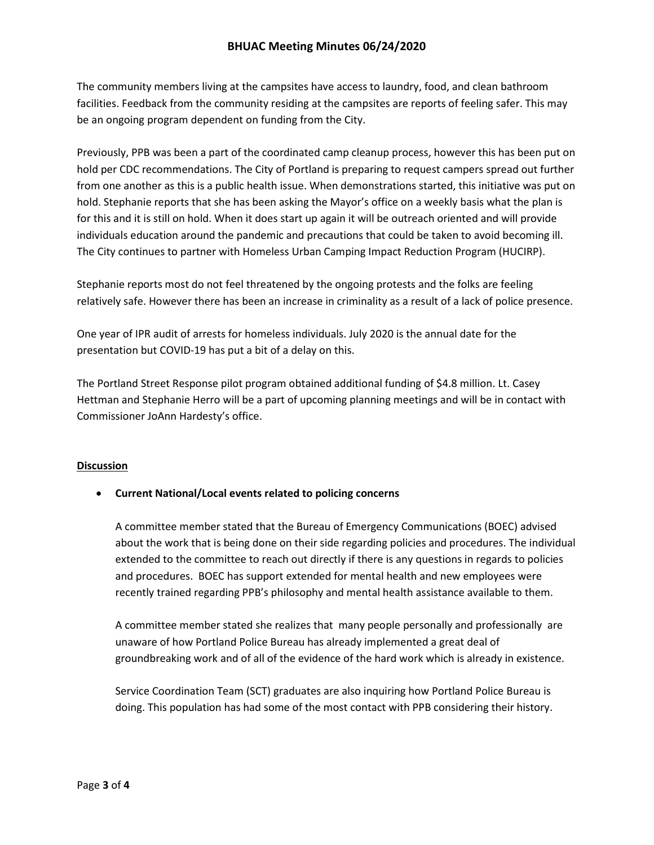The community members living at the campsites have access to laundry, food, and clean bathroom facilities. Feedback from the community residing at the campsites are reports of feeling safer. This may be an ongoing program dependent on funding from the City.

Previously, PPB was been a part of the coordinated camp cleanup process, however this has been put on hold per CDC recommendations. The City of Portland is preparing to request campers spread out further from one another as this is a public health issue. When demonstrations started, this initiative was put on hold. Stephanie reports that she has been asking the Mayor's office on a weekly basis what the plan is for this and it is still on hold. When it does start up again it will be outreach oriented and will provide individuals education around the pandemic and precautions that could be taken to avoid becoming ill. The City continues to partner with Homeless Urban Camping Impact Reduction Program (HUCIRP).

Stephanie reports most do not feel threatened by the ongoing protests and the folks are feeling relatively safe. However there has been an increase in criminality as a result of a lack of police presence.

One year of IPR audit of arrests for homeless individuals. July 2020 is the annual date for the presentation but COVID-19 has put a bit of a delay on this.

The Portland Street Response pilot program obtained additional funding of \$4.8 million. Lt. Casey Hettman and Stephanie Herro will be a part of upcoming planning meetings and will be in contact with Commissioner JoAnn Hardesty's office.

# Discussion

## Current National/Local events related to policing concerns

A committee member stated that the Bureau of Emergency Communications (BOEC) advised about the work that is being done on their side regarding policies and procedures. The individual extended to the committee to reach out directly if there is any questions in regards to policies and procedures. BOEC has support extended for mental health and new employees were recently trained regarding PPB's philosophy and mental health assistance available to them.

A committee member stated she realizes that many people personally and professionally are unaware of how Portland Police Bureau has already implemented a great deal of groundbreaking work and of all of the evidence of the hard work which is already in existence.

Service Coordination Team (SCT) graduates are also inquiring how Portland Police Bureau is doing. This population has had some of the most contact with PPB considering their history.